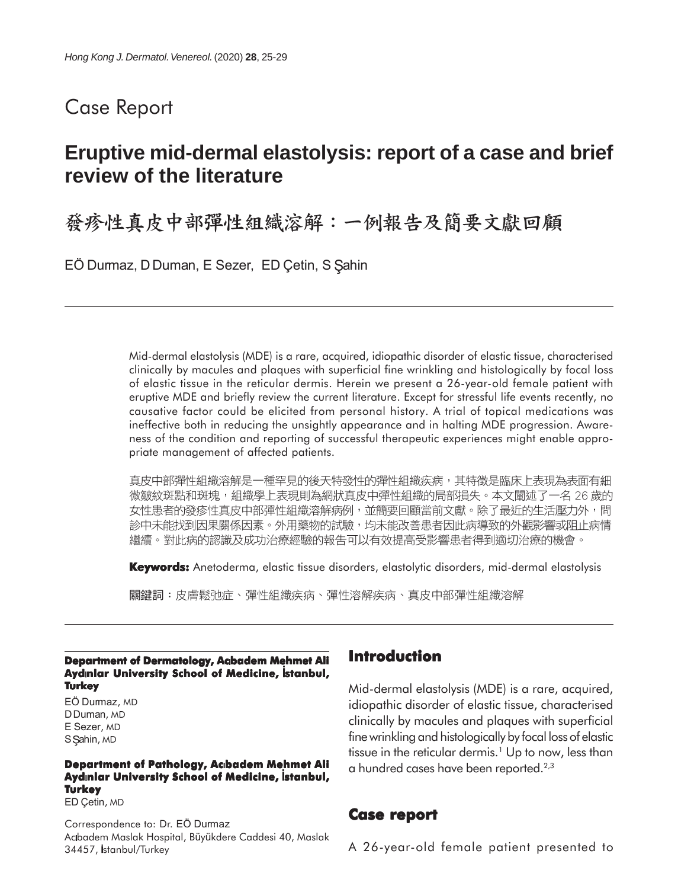# Case Report

# **Eruptive mid-dermal elastolysis: report of a case and brief review of the literature**

發疹性真皮中部彈性組織溶解:一例報告及簡要文獻回顧

EÖ Durmaz, D Duman, E Sezer, ED Çetin, S Şahin

Mid-dermal elastolysis (MDE) is a rare, acquired, idiopathic disorder of elastic tissue, characterised clinically by macules and plaques with superficial fine wrinkling and histologically by focal loss of elastic tissue in the reticular dermis. Herein we present a 26-year-old female patient with eruptive MDE and briefly review the current literature. Except for stressful life events recently, no causative factor could be elicited from personal history. A trial of topical medications was ineffective both in reducing the unsightly appearance and in halting MDE progression. Awareness of the condition and reporting of successful therapeutic experiences might enable appropriate management of affected patients.

真皮中部彈性組織溶解是一種罕見的後天特發性的彈性組織疾病,其特徵是臨床上表現為表面有細 微皺紋斑點和斑塊,組織學上表現則為網狀真皮中彈性組織的局部損失。本文闡述了一名 26 歲的 女性患者的發疹性真皮中部彈性組織溶解病例,並簡要回顧當前文獻。除了最近的生活壓力外,問 診中未能找到因果關係因素。外用藥物的試驗,均未能改善患者因此病導致的外觀影響或阻止病情 繼續。對此病的認識及成功治療經驗的報告可以有效提高受影響患者得到適切治療的機會。

**Keywords:** Anetoderma, elastic tissue disorders, elastolytic disorders, mid-dermal elastolysis

關鍵詞:皮膚鬆弛症、彈性組織疾病、彈性溶解疾病、真皮中部彈性組織溶解

**Department of Dermatology, Acbadem Mehmet Ali Ayd** nlar University School of Medicine, Istanbul, **Turkey**

EÖ Durmaz, MD D Duman, MD E Sezer, MD S Sahin, MD

#### **Department of Pathology, Acıbadem Mehmet Ali Aydınlar University School of Medicine, İstanbul, Turkey**

ED Çetin, MD

Correspondence to: Dr. EÖ Durmaz Acbadem Maslak Hospital, Büyükdere Caddesi 40, Maslak 34457, İstanbul/Turkey

## **Introduction**

Mid-dermal elastolysis (MDE) is a rare, acquired, idiopathic disorder of elastic tissue, characterised clinically by macules and plaques with superficial fine wrinkling and histologically by focal loss of elastic tissue in the reticular dermis.<sup>1</sup> Up to now, less than a hundred cases have been reported.2,3

#### **Case report report**

A 26-year-old female patient presented to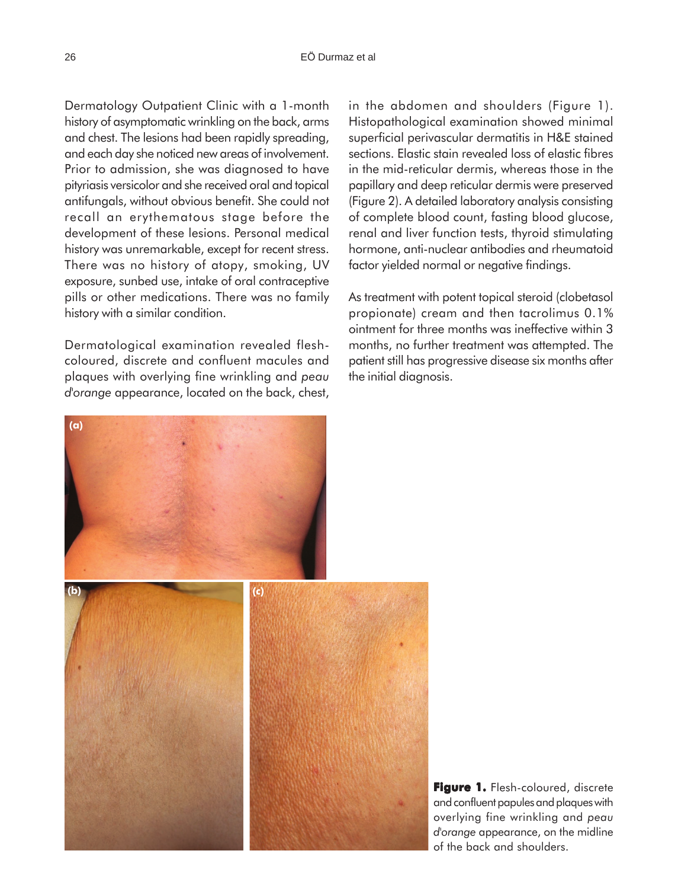Dermatology Outpatient Clinic with a 1-month history of asymptomatic wrinkling on the back, arms and chest. The lesions had been rapidly spreading, and each day she noticed new areas of involvement. Prior to admission, she was diagnosed to have pityriasis versicolor and she received oral and topical antifungals, without obvious benefit. She could not recall an erythematous stage before the development of these lesions. Personal medical history was unremarkable, except for recent stress. There was no history of atopy, smoking, UV exposure, sunbed use, intake of oral contraceptive pills or other medications. There was no family history with a similar condition.

Dermatological examination revealed fleshcoloured, discrete and confluent macules and plaques with overlying fine wrinkling and *peau d'orange* appearance, located on the back, chest, in the abdomen and shoulders (Figure 1). Histopathological examination showed minimal superficial perivascular dermatitis in H&E stained sections. Elastic stain revealed loss of elastic fibres in the mid-reticular dermis, whereas those in the papillary and deep reticular dermis were preserved (Figure 2). A detailed laboratory analysis consisting of complete blood count, fasting blood glucose, renal and liver function tests, thyroid stimulating hormone, anti-nuclear antibodies and rheumatoid factor yielded normal or negative findings.

As treatment with potent topical steroid (clobetasol propionate) cream and then tacrolimus 0.1% ointment for three months was ineffective within 3 months, no further treatment was attempted. The patient still has progressive disease six months after the initial diagnosis.



**Figure 1.** Flesh-coloured, discrete and confluent papules and plaques with overlying fine wrinkling and *peau d'orange* appearance, on the midline of the back and shoulders.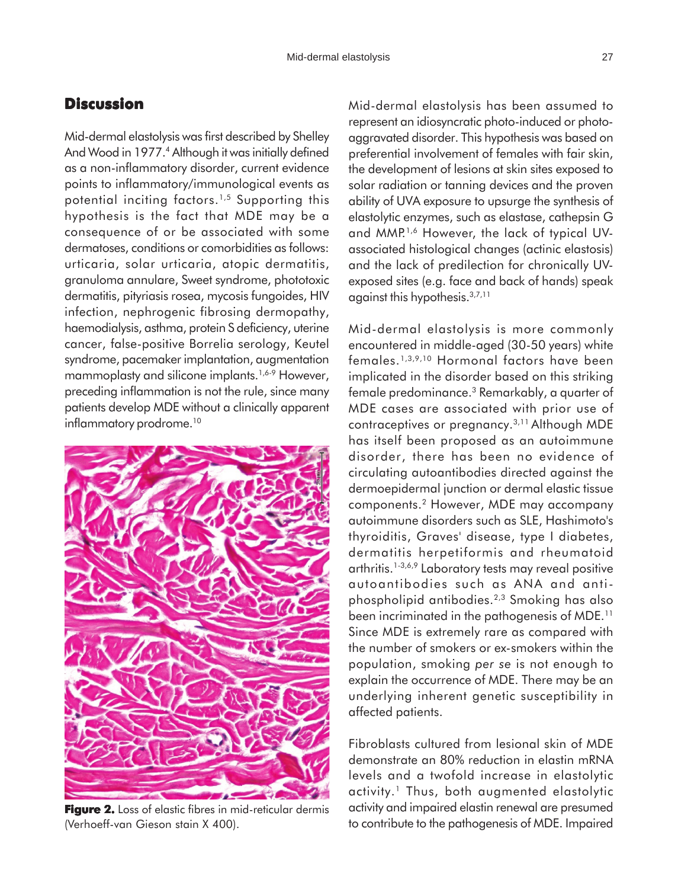## **Discussion**

= consequence of or be associated with some Mid-dermal elastolysis was first described by Shelley And Wood in 1977.<sup>4</sup> Although it was initially defined as a non-inflammatory disorder, current evidence points to inflammatory/immunological events as potential inciting factors.1,5 Supporting this hypothesis is the fact that MDE may be a dermatoses, conditions or comorbidities as follows: urticaria, solar urticaria, atopic dermatitis, granuloma annulare, Sweet syndrome, phototoxic dermatitis, pityriasis rosea, mycosis fungoides, HIV infection, nephrogenic fibrosing dermopathy, haemodialysis, asthma, protein S deficiency, uterine cancer, false-positive Borrelia serology, Keutel syndrome, pacemaker implantation, augmentation mammoplasty and silicone implants.<sup>1,6-9</sup> However, preceding inflammation is not the rule, since many patients develop MDE without a clinically apparent inflammatory prodrome.<sup>10</sup>



**Figure 2.** Loss of elastic fibres in mid-reticular dermis (Verhoeff-van Gieson stain X 400).

Mid-dermal elastolysis has been assumed to represent an idiosyncratic photo-induced or photoaggravated disorder. This hypothesis was based on preferential involvement of females with fair skin, the development of lesions at skin sites exposed to solar radiation or tanning devices and the proven ability of UVA exposure to upsurge the synthesis of elastolytic enzymes, such as elastase, cathepsin G and MMP<sup>1,6</sup> However, the lack of typical UVassociated histological changes (actinic elastosis) and the lack of predilection for chronically UVexposed sites (e.g. face and back of hands) speak against this hypothesis.3,7,11

Mid-dermal elastolysis is more commonly encountered in middle-aged (30-50 years) white females.1,3,9,10 Hormonal factors have been implicated in the disorder based on this striking female predominance.3 Remarkably, a quarter of MDE cases are associated with prior use of contraceptives or pregnancy.3,11 Although MDE has itself been proposed as an autoimmune disorder, there has been no evidence of circulating autoantibodies directed against the dermoepidermal junction or dermal elastic tissue components.2 However, MDE may accompany autoimmune disorders such as SLE, Hashimoto's thyroiditis, Graves' disease, type I diabetes, dermatitis herpetiformis and rheumatoid arthritis.1-3,6,9 Laboratory tests may reveal positive autoantibodies such as ANA and antiphospholipid antibodies.2,3 Smoking has also been incriminated in the pathogenesis of MDE.11 Since MDE is extremely rare as compared with the number of smokers or ex-smokers within the population, smoking *per se* is not enough to explain the occurrence of MDE. There may be an underlying inherent genetic susceptibility in affected patients.

Fibroblasts cultured from lesional skin of MDE demonstrate an 80% reduction in elastin mRNA levels and a twofold increase in elastolytic activity.<sup>1</sup> Thus, both augmented elastolytic activity and impaired elastin renewal are presumed to contribute to the pathogenesis of MDE. Impaired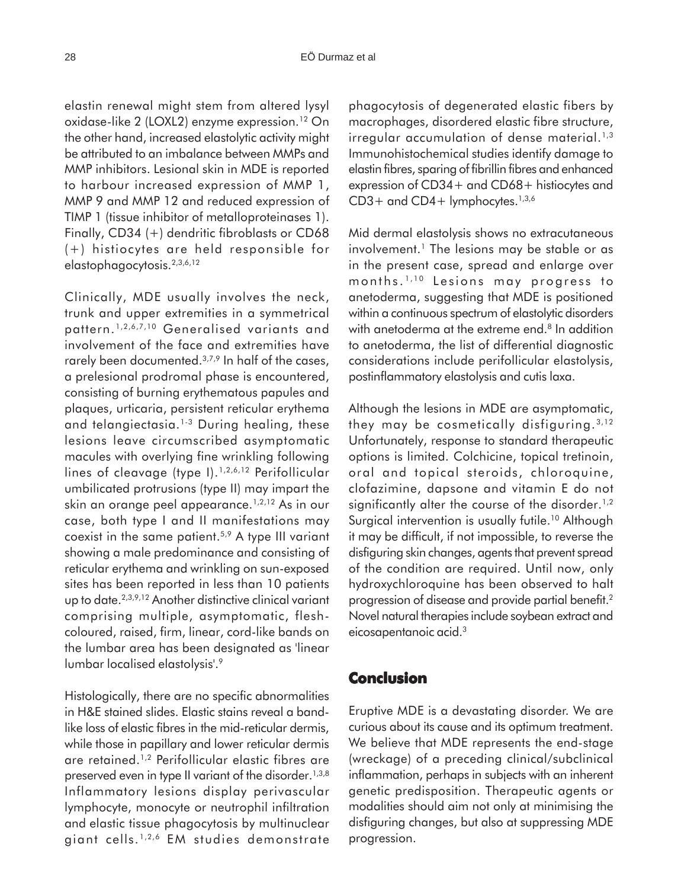elastin renewal might stem from altered lysyl oxidase-like 2 (LOXL2) enzyme expression.<sup>12</sup> On the other hand, increased elastolytic activity might be attributed to an imbalance between MMPs and MMP inhibitors. Lesional skin in MDE is reported to harbour increased expression of MMP 1, MMP 9 and MMP 12 and reduced expression of TIMP 1 (tissue inhibitor of metalloproteinases 1). Finally, CD34 (+) dendritic fibroblasts or CD68 (+) histiocytes are held responsible for elastophagocytosis.2,3,6,12

Clinically, MDE usually involves the neck, trunk and upper extremities in a symmetrical pattern. 1,2,6,7,10 Generalised variants and involvement of the face and extremities have rarely been documented.<sup>3,7,9</sup> In half of the cases, a prelesional prodromal phase is encountered, consisting of burning erythematous papules and plaques, urticaria, persistent reticular erythema and telangiectasia.<sup>1-3</sup> During healing, these lesions leave circumscribed asymptomatic macules with overlying fine wrinkling following lines of cleavage (type I).<sup>1,2,6,12</sup> Perifollicular umbilicated protrusions (type II) may impart the skin an orange peel appearance.<sup>1,2,12</sup> As in our case, both type I and II manifestations may coexist in the same patient.5,9 A type III variant showing a male predominance and consisting of reticular erythema and wrinkling on sun-exposed sites has been reported in less than 10 patients up to date.2,3,9,12 Another distinctive clinical variant comprising multiple, asymptomatic, fleshcoloured, raised, firm, linear, cord-like bands on the lumbar area has been designated as 'linear lumbar localised elastolysis'.9

Histologically, there are no specific abnormalities in H&E stained slides. Elastic stains reveal a bandlike loss of elastic fibres in the mid-reticular dermis, while those in papillary and lower reticular dermis are retained.1,2 Perifollicular elastic fibres are preserved even in type II variant of the disorder.<sup>1,3,8</sup> Inflammatory lesions display perivascular lymphocyte, monocyte or neutrophil infiltration and elastic tissue phagocytosis by multinuclear giant cells. 1,2,6 EM studies demonstrate phagocytosis of degenerated elastic fibers by macrophages, disordered elastic fibre structure, irregular accumulation of dense material. $1,3$ Immunohistochemical studies identify damage to elastin fibres, sparing of fibrillin fibres and enhanced expression of CD34+ and CD68+ histiocytes and  $CD3+$  and  $CD4+$  lymphocytes.<sup>1,3,6</sup>

Mid dermal elastolysis shows no extracutaneous involvement.<sup>1</sup> The lesions may be stable or as in the present case, spread and enlarge over months. 1,10 Lesions may progress to anetoderma, suggesting that MDE is positioned within a continuous spectrum of elastolytic disorders with anetoderma at the extreme end.<sup>8</sup> In addition to anetoderma, the list of differential diagnostic considerations include perifollicular elastolysis, postinflammatory elastolysis and cutis laxa.

Although the lesions in MDE are asymptomatic, they may be cosmetically disfiguring.  $3,12$ Unfortunately, response to standard therapeutic options is limited. Colchicine, topical tretinoin, oral and topical steroids, chloroquine, clofazimine, dapsone and vitamin E do not significantly alter the course of the disorder.<sup>1,2</sup> Surgical intervention is usually futile.<sup>10</sup> Although it may be difficult, if not impossible, to reverse the disfiguring skin changes, agents that prevent spread of the condition are required. Until now, only hydroxychloroquine has been observed to halt progression of disease and provide partial benefit.2 Novel natural therapies include soybean extract and eicosapentanoic acid.3

#### **Conclusion**

Eruptive MDE is a devastating disorder. We are curious about its cause and its optimum treatment. We believe that MDE represents the end-stage (wreckage) of a preceding clinical/subclinical inflammation, perhaps in subjects with an inherent genetic predisposition. Therapeutic agents or modalities should aim not only at minimising the disfiguring changes, but also at suppressing MDE progression.